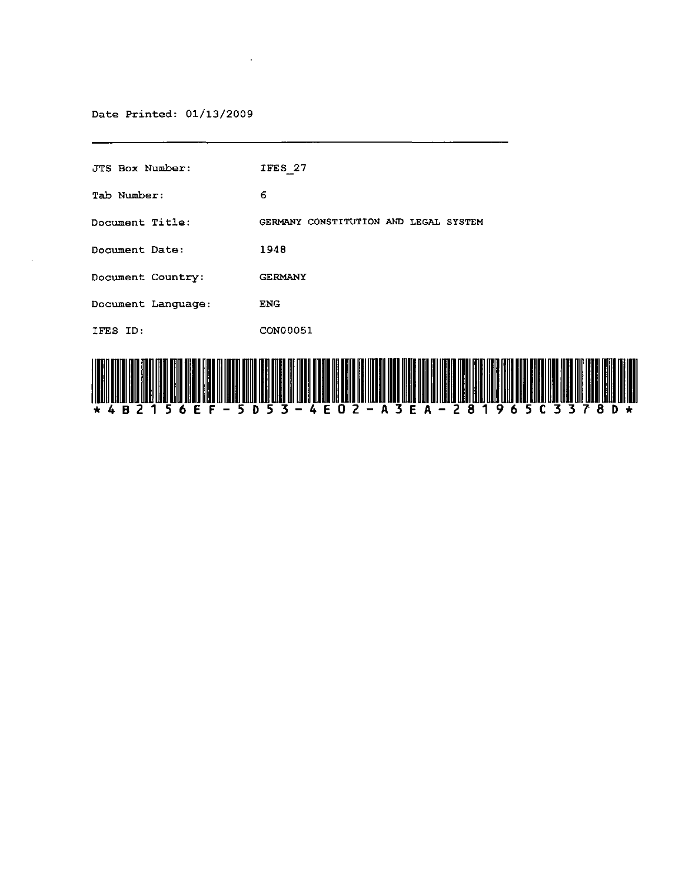#### Date Printed: 01/13/2009

 $\mathcal{L}_{\mathrm{eff}}$ 

"E "F

| <b>JTS Box Number:</b> | IFES 27                               |  |  |
|------------------------|---------------------------------------|--|--|
| Tab Number:            | 6                                     |  |  |
| <b>Document Title:</b> | GERMANY CONSTITUTION AND LEGAL SYSTEM |  |  |
| Document Date:         | 1948                                  |  |  |
| Document Country:      | <b>GERMANY</b>                        |  |  |
| Document Language:     | <b>ENG</b>                            |  |  |
| IFES ID:               | CON00051                              |  |  |
|                        |                                       |  |  |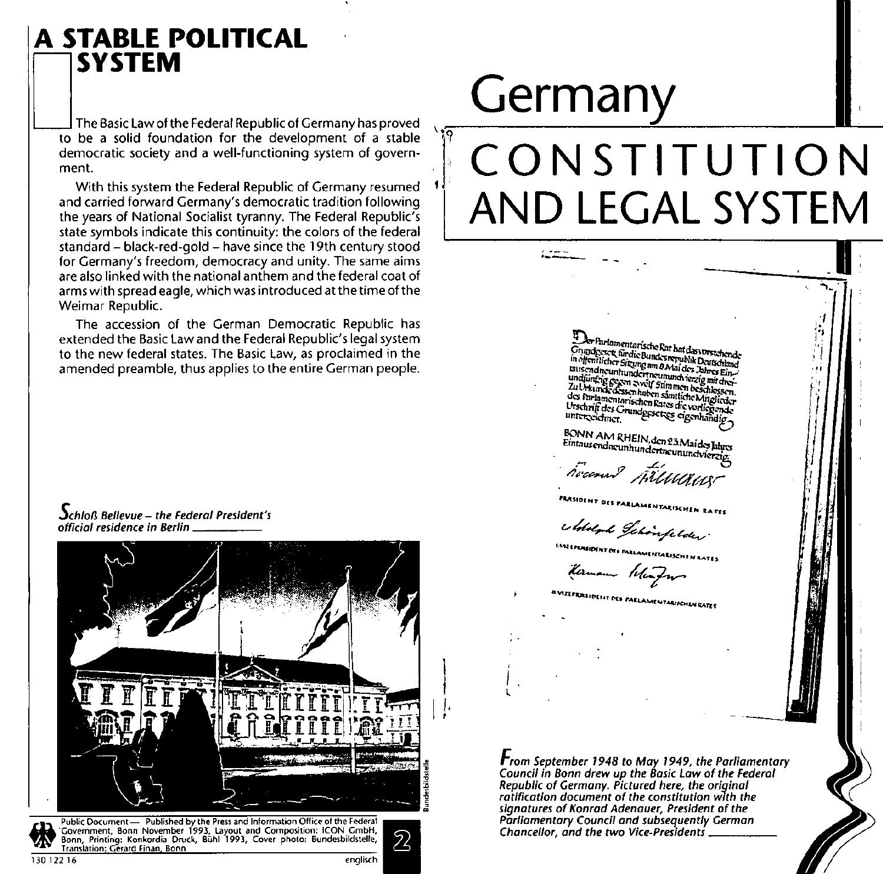### **A STABLE POLITICAL SYSTEM**

The Basic Law of the Federal Republic of Germany has proved to be a solid foundation for the development of a stable democratic society and a well-functioning system of government.

With this system the Federal Republic of Germany resumed and carried forward Germany's democratic tradition following the years of National Socialist tyranny. The Federal Republic's state symbols indicate this continuity: the colors of the federal standard - black-red-gold - have since the 19th century stood for Germany's freedom, democracy and unity. The same aims are also linked with the national anthem and the federal coat of arms with spread eagle, which was introduced at the time of the Weimar Republic.

The accession of the German Democratic Republic has extended the Basic Law and the Federal Republic's legal system to the new federal states. The Basic Law, as proclaimed in the amended preamble, thus applies to the entire German people.

 $\Delta$ chloß Bellevue – the Federal President's official residence in Berlin



# Germany

វុទ្

## CONSTITUTION AND LEGAL SYSTEM

er Farlomentarische Rat hat das vorstchende Grundgeser fündie Bundesrepublik Deutschland Uning Cock in the pulse of Paris Devices and<br>in offentiener Siteing am B Mai des Jahres Ein-<br>Entschangen hundertneunund verzig mit der tausemancumnumerrumumumumereg unturer<br>undfünfrig gegen zweif Stimmen beschlossen.<br>Zu Urkunde dessen haben samtliche Mitglieder La cristance consequence a samuelle regigieraer<br>des Parlamentarischen Rates die vorliegende us rungungung permanen was sesentiandig.

BONN AM RHEIN, den 23 Mai des Jahres Eintausendneunhundertneunundvierzig

houmed Hilladus

FIASIDENT DES PARLAMENTARISCHEN RATES

e detelente Gehoorefeleter<br>marconom oo maammaanzammaans

romannon.<br>Kermann Wenfrom

8.Vizeprisjoefit des Parlamentarischen Rates

From September 1948 to May 1949, the Parliamentary<br>Council in Bonn drew up the Basic Law of the Federal Republic of Germany. Pictured here, the original ratification document of the constitution with the signatures of Konrad Adenauer, President of the Parliamentary Council and subsequently German Chancellor, and the two Vice-Presidents,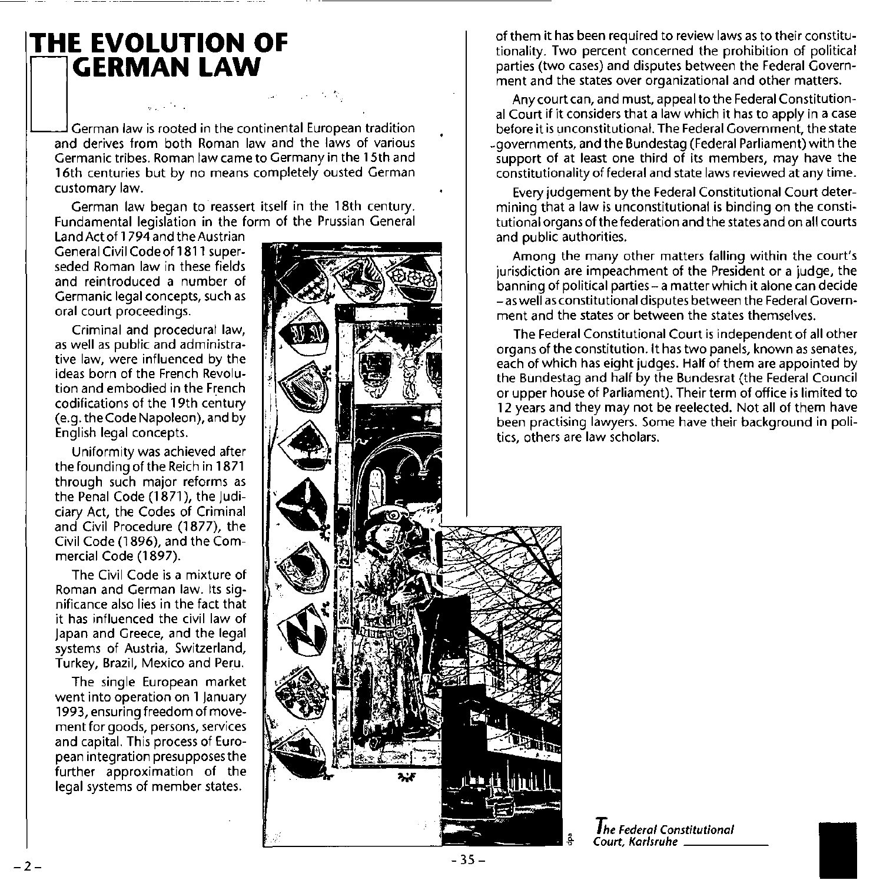## **THE EVOLUTION OF**<br>**THE EVOLUTION OF**

**GERMAN LAW**<br>Cerman law is rooted in the continental European tradition<br>and derives from both Roman law and the laws of various **Germanic tribes. Roman law came to Germany in the 15th and**  16th centuries but by no means completely ousted German **customary law.** 

German law began to reassert itself in the 18th century. Fundamental legislation in the form of the Prussian General

Land Act of 1 794 and the Austrian General Civil Codeof1811 superseded Roman law in these fields and reintroduced a number of **Germanic legal concepts, such as oral court proceedings.** 

Criminal and procedural law, **as well as public and administrative law, were influenced by the ideas born of the French Revolu**tion and embodied in the French codifications of the 19th century (e.g. theCode Napoleon), and by English legal concepts.

Uniformity was achieved after the founding of the Reich in 1871 **through such major reforms as**  the Penal Code (1871), the Judiciary Act, the Codes of Criminal and Civil Procedure (1877), the Civil Code (1896), and the Commercial Code (1897).

**The Civil Code is a mixture of Roman and German law. Its significance also lies in the fact that**  it has influenced the civil law of Japan and Greece, and the legal systems of Austria, Switzerland, **Turkey, Brazil, Mexico and Peru.** 

The single European market **went into operation on 1 January**  1993, ensuring freedom of move**ment for goods, persons, services**  and capital. This process of European integration presupposes the further approximation of the legal systems of member states.



**of them it has been required to review laws as to their constitu**tionality. Two percent concerned the prohibition of political parties (two cases) and disputes between the Federal Govern**ment and the states over organizational and other matters.** 

**Any court can, and must, appeal to the Federal Constitution·**  al Court if it considers that a law which it has to apply in a case **before it is unconstitutional. The Federal Government, the state**  \_governments, and the Bundestag (Federal Parliament) with the **support of at least one third of its members, may have the constitutionality of federal and state laws reviewed at any time.** 

Every judgement by the Federal Constitutional Court deter**mining that a law is unconstitutional is binding on the consti**tutional organs of the federation and the states and on all courts and public authorities.

**Among the many other matters falling within the court's jurisdiction are impeachment of the President or a judge, the**  banning of political parties - a matter which it alone can decide **-as well as constitutional disputes between the Federal Government and the states or between the states themselves.** 

**The Federal Constitutional Court is independent of all other organs of the constitution. It has two panels, known as senates,**  each of which has eight judges. Half of them are appointed by the Bundestag and half by the Bundesrat (the Federal Council or upper house of Parliament). Their term of office is limited to 12 years and they may not be reelected. Not all of them have **been practising lawyers. Some have their background in politics, others are law scholars.** 

```
The Federal Constitutional 
Court, Karlsruhe ____ _
```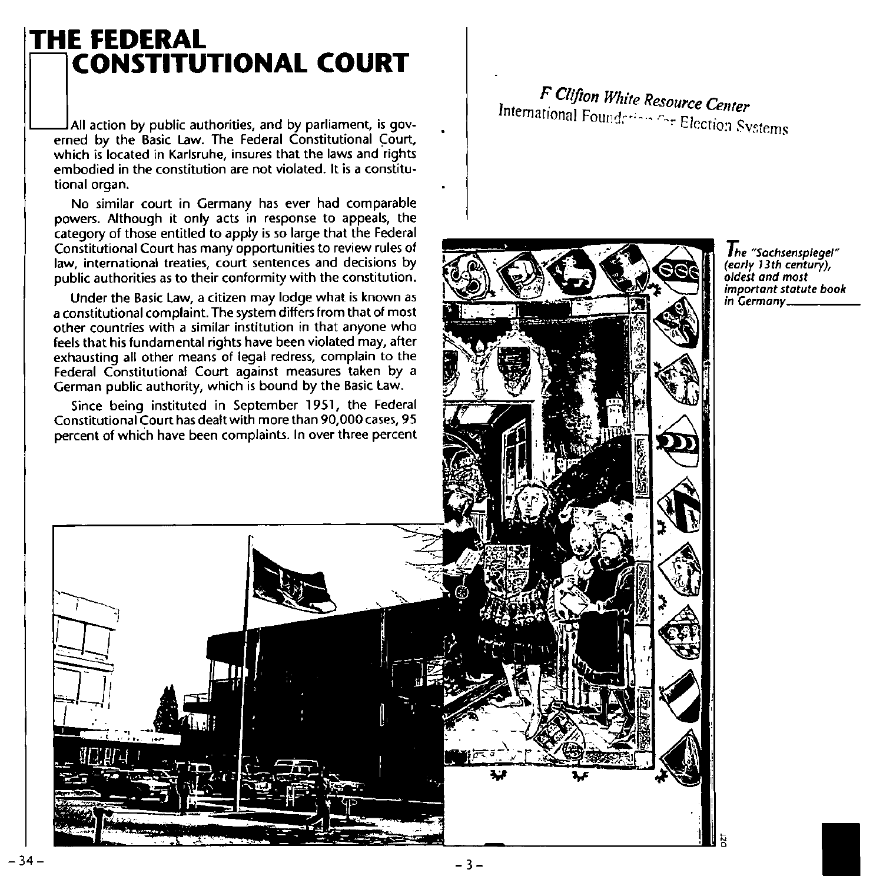### THE FEDERAL **CONSTITUTIONAL COURT**

All action by public authorities, and by parliament, is governed by the Basic Law. The Federal Constitutional Court,<br>which is located in Karlsruhe, insures that the laws and rights embodied in the constitution are not violated. It is a constitutional organ.

No similar court in Germany has ever had comparable powers. Although it only acts in response to appeals, the category of those entitled to apply is so large that the Federal<br>Constitutional Court has many opportunities to review rules of law, international treaties, court sentences and decisions by public authorities as to their conformity with the constitution.

Under the Basic Law, a citizen may lodge what is known as a constitutional complaint. The system differs from that of most other countries with a similar institution in that anyone who feels that his fundamental rights have been violated may, after exhausting all other means of legal redress, complain to the Federal Constitutional Court against measures taken by a<br>German public authority, which is bound by the Basic Law.

Since being instituted in September 1951, the Federal Constitutional Court has dealt with more than 90,000 cases, 95 percent of which have been complaints. In over three percent

F Clifton White Resource Center International Foundation for Election Systems



The "Sachsenspiegel" (early 13th century), oldest and most important statute book in Germany\_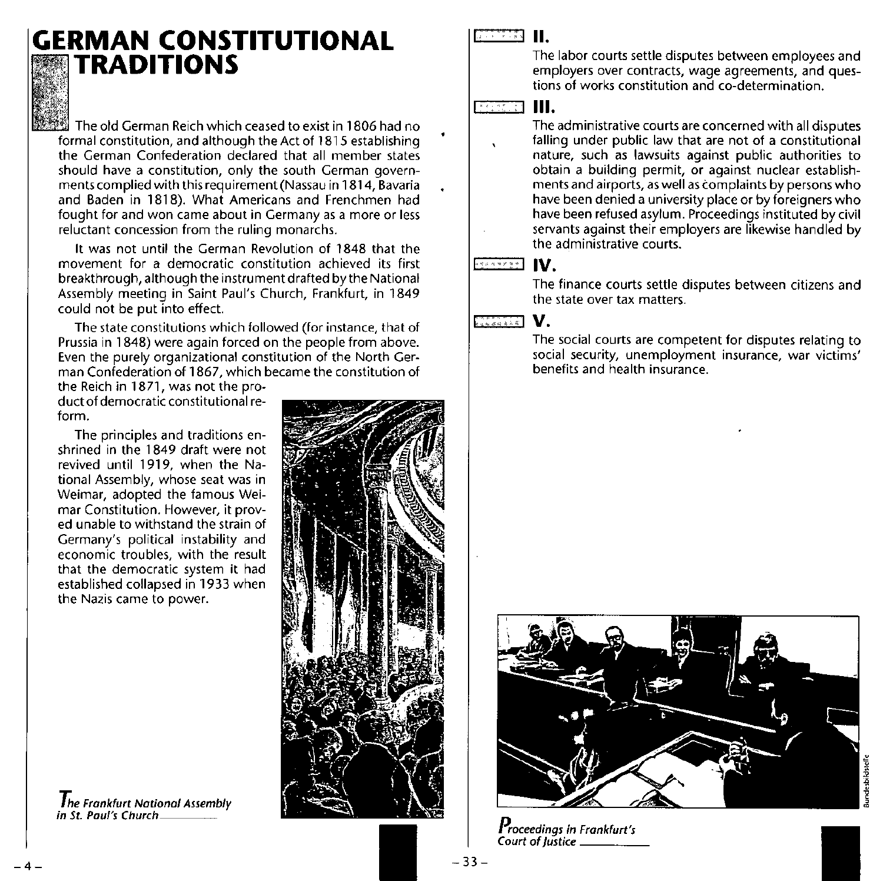### **GERMAN CONSTITUTIONAL X**TRADITIONS

The old German Reich which ceased to exist in 1806 had no formal constitution, and although the Act of 1815 establishing **the German Confederation declared that all member states should have a constitution, only the south German governments complied with this requirement(Nassau in 1814, Bavaria**  and Baden in 1818). What Americans and Frenchmen had **fought for and won came about in Germany as a more or less reluctant concession from the ruling monarchs.** 

It was not until the German Revolution of 1848 that the **movement for a democratic constitution achieved its first**  breakthrough, although the instrument drafted by the National Assembly meeting in Saint Paul's Church, Frankfurt, in 1849 **could not be put into effect.** 

**The state constitutions which followed (for instance, that of Prussia in 1848) were again forced on the people from above. Even the purely organizational constitution of the North German Confederation of 1867, which became the constitution of** 

the Reich in 1871, was not the pro**duct of democratic constitutional reform.** 

**The principles and traditions en**shrined in the 1849 draft were not revived until 1919, when the Na**tional Assembly, whose seat was in**  Weimar, adopted the famous Wei**mar Constitution. However, it prov**ed unable to withstand the strain of Germany's political instability and **economic troubles, with the result that the democratic system it had**  established collapsed in 1933 when **the Nazis came to power.** 

**The Frankfurt National Assembly**<br>in St. Paul's Church



#### t::! =::3. J **II.**

The labor courts settle disputes between employees and **employers over contracts, wage agreements, and questions of works constitution and co-determination.**  The<br>
III The<br>
emp<br>
tions<br>
III.<br>
The

**The administrative courts are concerned with all disputes falling under public law that are not of a constitutional nature, such as lawsuits against public authorities to obtain a building permit, or against nuclear establishments and airports, as well as complaints by persons who have been denied a university place or by foreigners who have been refused asylum. Proceedings instituted by civil**  servants against their employers are likewise handled by **the administrative courts.** 

#### **BEATTER IV.**

The finance courts settle disputes between citizens and **the state over tax matters.** 

#### L;~#~, ~I **v.**

**The social courts are competent for disputes relating to social security, unemployment insurance, war victims' benefits and health insurance.** 



**Proceedings in Frankfurt's Court of Justice** \_\_\_\_ \_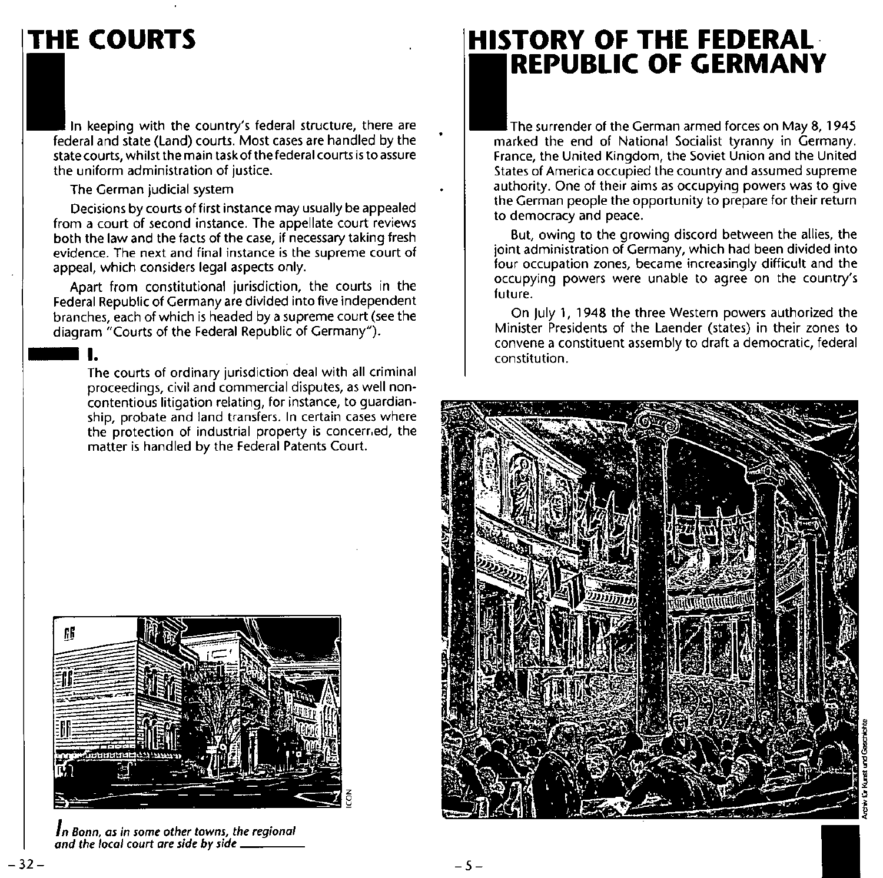## **THE COURTS**

In keeping with the country's federal structure, there are federal and state (Land) courts. Most cases are handled by the **state courts, whilst the main task of the federal courts is to assure the uniform administration of justice.** 

#### The German judicial system

Decisions by courts of first instance may usually be appealed **from a court of second instance. The appellate court reviews**  both the law and the facts of the case, if necessary taking fresh **evidence. The next and final instance is the supreme court of**  appeal, which considers legal aspects only.

Apart from constitutional jurisdiction, the courts in the Federal Republic of Germany are divided into five independent<br>branches, each of which is headed by a supreme court (see the diagram "Courts of the Federal Republic of Germany").

**The courts of ordinary jurisdiction deal with all criminal proceedings, civil and commercial disputes, as well noncontentious litigation relating, for instance, to guardianship, probate and land transfers. In certain cases where the protection of industrial property is concerr,ed, the**  matter is handled by the Federal Patents Court.



*In Bonn, as in some other towns, the regional and the local court are side* **by** *side* \_\_\_ \_

### **HISTORY OF THE FEDERAL· REPUBLIC OF GERMANY**

The surrender of the German armed forces on May 8, 1945 marked the end of National Socialist tyranny in Germany. **France, the United Kingdom, the Soviet Union and the United States of America occupied the country and assumed supreme authority. One of their aims as occupying powers was to give**  the German people the opportunity to prepare for their return **to democracy and peace.** 

But, owing to the growing discord between the allies, the **joint administration of Germany, which had been divided into four occupation zones, became increasingly difficult and the occupying powers were unable to agree on the country's future.** 

On July 1, 1948 the three Western powers authorized the **Minister Presidents of the Laender (states) in their zones to**  convene a constituent assembly to draft a democratic, federal **constitution.** 

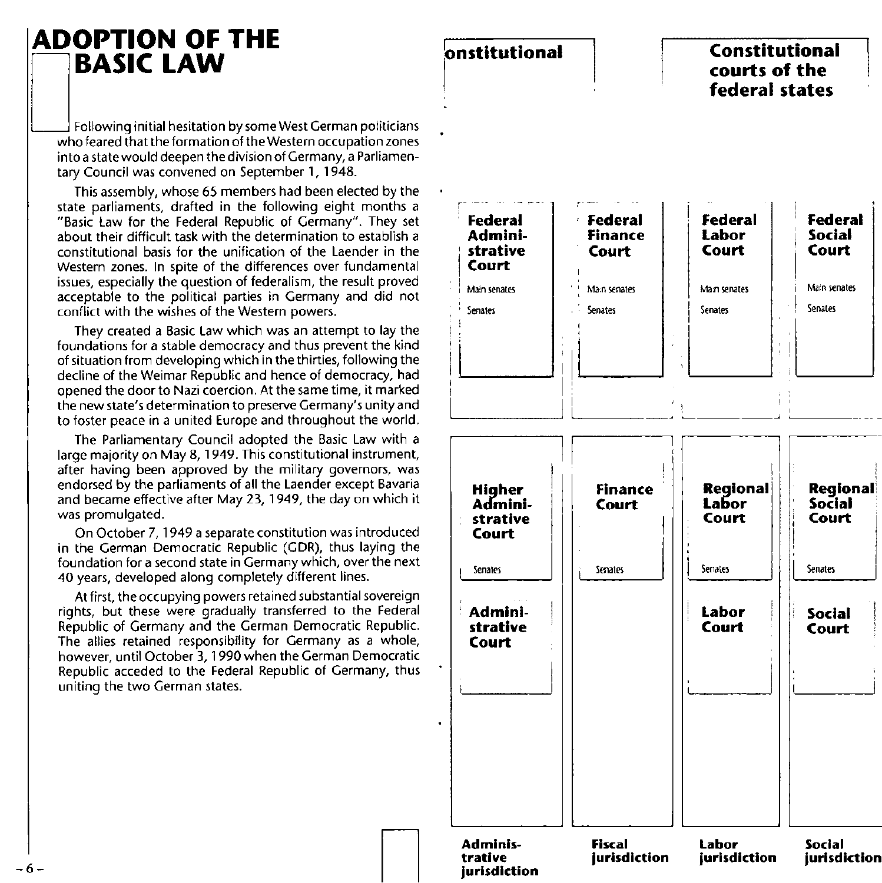## **ADOPTION OF THE**

Following initial hesitation by some West German politicians who feared that the formation of the Western occupation zones **into a state would deepen the division of Germany, a Parliamen**tary Council was convened on September 1, 1948.

This assembly, whose 65 members had been elected by the state parliaments, drafted in the following eight months a "Basic Law for the Federal Republic of Germany". They set about their difficult task with the determination to establish a **constitutional basis for the unification of the Laender in the Western lones. In spite of the differences over fundamental**  issues, especially the question of federalism, the result proved acceptable to the political parties in Germany and did not **conflict with the wishes of the Western powers.** 

They created a Basic Law which was an attempt to lay the **foundations for a stable democracy and thus prevent the kind**  of situation from developing which in the thirties, following the decline of the Weimar Republic and hence of democracy, had opened the door to Nazi coercion. At the same time, it marked **the new state's determination to preserve Germany's unity and**  to foster peace in a united Europe and throughout the world.

The Parliamentary Council adopted the Basic Law with a large majority on May 8,1949. This constitutional instrument, **after having been approved by the military governors, was endorsed by the parliaments of all the Laender except Bavaria**  and became effective after May 23, 1949, the day on which it **was promulgated.** 

**On October 7, 1949 a separate constitution was introduced**  in the German Democratic Republic (GDR), thus laying the **foundation for a second state in Germany which, over the next**  40 years, developed along completely different lines.

At first, **the occupying powers retained substantial sovereign rights, but these were gradually transferred to the Federal**  Republic of Germany and the German Democratic Republic. The allies retained responsibility for Germany as a whole, **however, until October 3, 1990 when the German Democratic**  Republic acceded to the Federal Republic of Germany, thus uniting the two German states.

#### $\Box$ **lonstitutional**  i. r- --~ - -~- Federal *Pe*deral<br>Admini- Finance **Admini- Finance**  strative **Court Main senates 1 I Main senates** Senates **Senates**  $\frac{1}{1}$ i I ; Ii I I I I II  $\prod_{i=1}^{n}$ **H:r.her Finance A mini- Court strative Court** I **Court**<br> **Court**<br> **Example Senates**<br> **Example Senates**<br> **Example Senates**<br> **Example Senates**<br> **Example Senates** Admini-I **stratlve Court**   $\begin{array}{|c|c|c|c|c|}\hline \quad \quad & \quad \quad & \quad \quad & \quad \quad \\ \hline \end{array}$ **Admlnis- Fiscal trative urisdlction jurisdiction Constitutional**  courts of the **federal states**  I I **Federal** <sup>I</sup>**Federal Labor** , **Labor Social Social**<br>Court Court<br>**I** |<br>| **Main senates** I **Main senates**  <sup>I</sup>**Senates** I **Senates** <sup>I</sup> ! i. , , , , " ~-----~ - -- -  $\begin{bmatrix} 1 & 1 \\ 1 & 1 \end{bmatrix}$ |<br>! **Regional La or Regional Social Court** , **Court** <sup>I</sup>  $\begin{array}{ccc} \cdot & \cdot & \cdot \\ \cdot & \cdot & \cdot \\ \cdot & \cdot & \cdot \end{array}$ **i Senates I I Senates Labor<br>Court** ! **Social** I **Court Court** ,  $\begin{bmatrix} 1 & 1 & 1 \\ 1 & 1 & 1 \\ 1 & 1 & 1 \end{bmatrix}$ **Labor Social jurisdiction jurisdiction**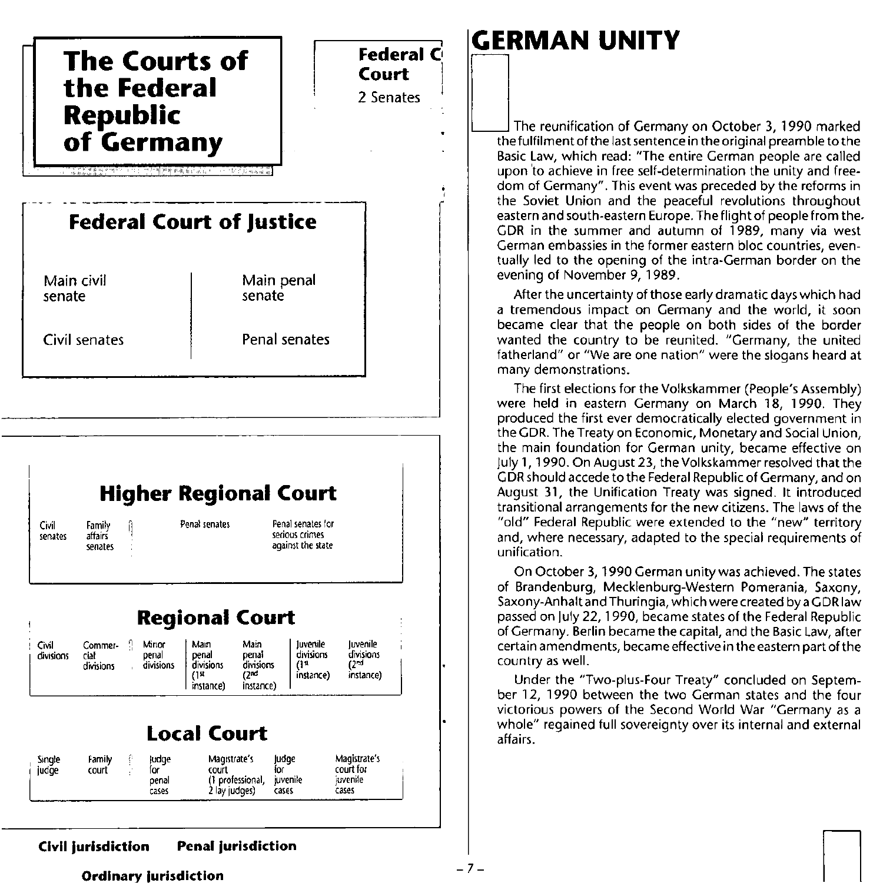

## **GERMAN UNITY**

The reunification of Germany on October 3, 1990 marked<br>the fulfilment of the last sentence in the original preamble to the<br>Pacial previous distribution of the original preamble to the Basic Law, which read: "The entire German people are called upon 'to achieve in free self-determination the unity and freedom of Germany". This event was preceded by the reforms in the Soviet Union and the peaceful revolutions throughout eastern and south-eastern Europe. The flight of people from the. GDR in the summer and autumn of 1989, many via west German embassies in the former eastern bloc countries, eventually led to the opening of the intra-German border on the evening of November 9,1989.

After the uncertainty of those early dramatic days which had a tremendous impact on Germany and the world, it soon became clear that the people on both sides of the border wanted the country to be reunited. "Germany, the united fatherland" or "We are one nation" were the slogans heard at many demonstrations.

The first elections for the Volkskammer (People's Assembly) were held in eastern Germany on March 18, 1990. They produced the first ever democratically elected government in the GDR. The Treaty on Economic, Monetary and Social Union, the main foundation for German unity, became effective on July 1, 1990. On August 23, the Volkskammer resolved that the GDR should accede to the Federal Republic of Germany, and on August 31, the Unification Treaty was signed. It introduced transitional arrangements for the new citizens. The laws of the "old" Federal Republic were extended to the "new" territory and, where necessary, adapted to the special requirements of unification.

On October 3, 1990 German unity was achieved. The states of Brandenburg, Mecklenburg-Western Pomerania, Saxony, Saxony-Anhalt and Thuringia, which were created by a GDR law passed on July 22, 1990, became states of the Federal Republic of Germany. Berlin became the capital, and the Basic Law, after certain amendments, became effective in the eastern part of the country as well.

Under the "Two-plus-Four Treaty" concluded on September 12, 1990 between the two German states and the four victorious powers of the Second World War "Germany as a whole" regained full sovereignty over its internal and external affairs.

 $\Box$ 

#### Civil jurisdiction Penal jurisdiction

#### Ordinary iurisdiction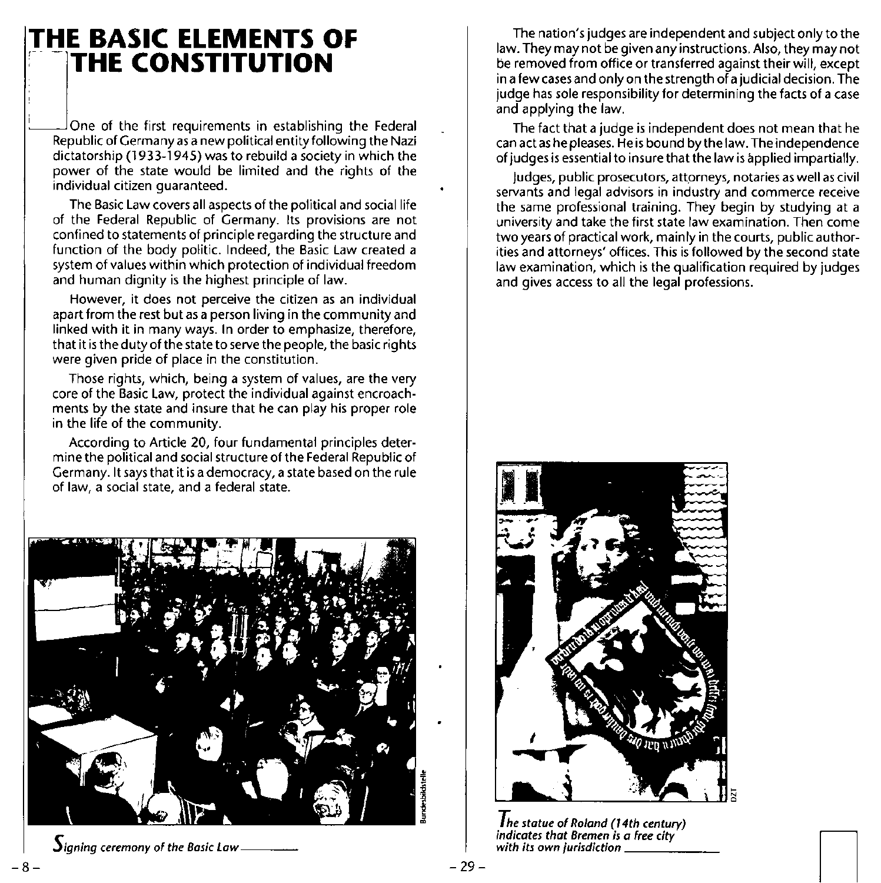## **THE BASIC ELEMENTS OF<br>THE CONSTITUTION**

 $a$ One of the first requirements in establishing the Federal Republic of Germany as a new political entity following the Nazi dictatorship (1933-1945) was to rebuild a society in which the power of the state would be limited and the rights of the **individual citizen guaranteed.** 

The Basic Law covers all aspects of the political and social life of the Federal Republic of Germany. Its provisions are not **confined to statements of principle regarding the structure and**  function of the body politic. Indeed, the Basic Law created a **system of values within which protection of individual freedom**  and human dignity is the highest principle of law.

**However, it does not perceive the citizen as an individual apart from the rest but as a person living in the community and linked with it in many ways. In order to emphasize, therefore,**  that it is the duty of the state to serve the people, the basic rights **were given pride of place in the constitution.** 

Those rights, which, being a system of values, are the very **core of the Basic Law, protect the individual against encroach**ments by the state and insure that he can play his proper role **in the life of the community.** 

**According to Article 20, four fundamental principles deter**mine the political and social structure of the Federal Republic of Germany. It says that it is a democracy, a state based on the rule **of law, a social state, and a federal state.** 



 $\mathbf{\mathbf{J}}$ igning ceremony of the Basic Law

-8-

The nation's judges are independent and subject only to the law. They may not be given any instructions. Also, they may not **be removed from office or transferred against their will, except**  in a few cases and only on the strength of a judicial decision. The judge has sale responsibility for determining the facts of a case and applying the law.

The fact that a judge is independent does not mean that he can act as he pleases. He is bound by the law. The independence of judges is essential to insure that the law is applied impartially.

Judges, public prosecutors, attorneys, notaries as well as civil **servants and legal advisors in industry and commerce receive**  the same professional training. They begin by studying at a **university and take the first state law examination. Then come two years of practical work, mainly in the courts, public author**ities and attorneys' offices. This is followed by the second state **law examination, which is the qualification required by judges**  and gives access to all the legal professions.



*The statue of Roland (14th century) i*ndicates that Bremen is a free city indicates that Bremen is a free city with its own jurisdiction  $\begin{bmatrix} \end{bmatrix}$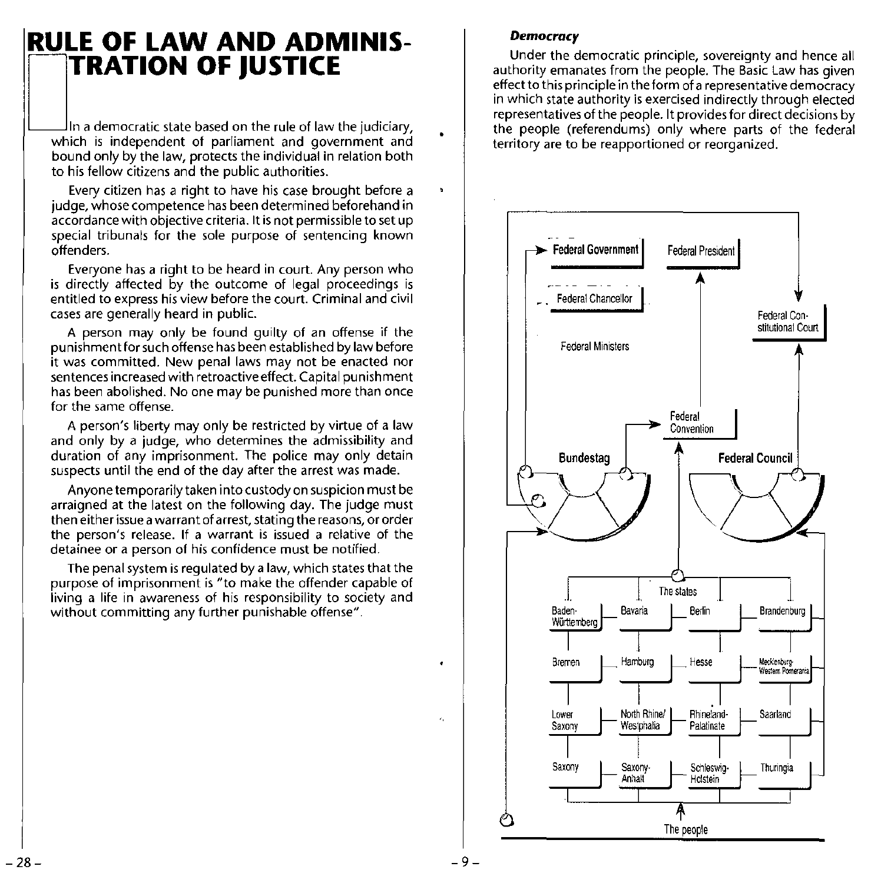## **RULE OF LAW AND ADMINIS-**<br>TRATION OF JUSTICE

Which is independent of parliament and government and bound only by the law, protects the individual in relation both to his fellow citizens and the public authorities.

Every citizen has a right to have his case brought before a judge, whose competence has been determined beforehand in accordance with objective criteria. It is not permissible to set up special tribunals for the sole purpose of sentencing known offenders.

Everyone has a right to be heard in court. Any person who is directly affected by the outcome of legal proceedings is entitled to express his view before the court. Criminal and civil cases are generally heard in public.

A person may only be found guilty of an offense if the punishment for such offense has been established by law before it was committed. New penal laws may not be enacted nor sentences increased with retroactive effect. Capital punishment has been abolished. No one may be punished more than once for the same offense.

A person's liberty may only be restricted by virtue of a law and only by a judge, who determines the admissibility and duration of any imprisonment. The police may only detain suspects until the end of the day after the arrest was made.

Anyone temporarily taken into custody on suspicion must be arraigned at the latest on the following day. The judge must then either issue a warrant of arrest, stating the reasons, or order the person's release. If a warrant is issued a relative of the detainee or a person of his confidence must be notified.

The penal system is regulated by a law, which states that the purpose of imprisonment is "to make the offender capable of living a life in awareness of his responsibility to society and without committing any further punishable offense".

#### *Democracy*

Under the democratic principle, sovereignty and hence all authority emanates from the people. The Basic Law has given effect to this principle in the form of a representative democracy in which state authority is exercised indirectly through elected representatives of the people. It provides for direct decisions by the people (referendums) only where parts of the federal territory are to be reapportioned or reorganized.

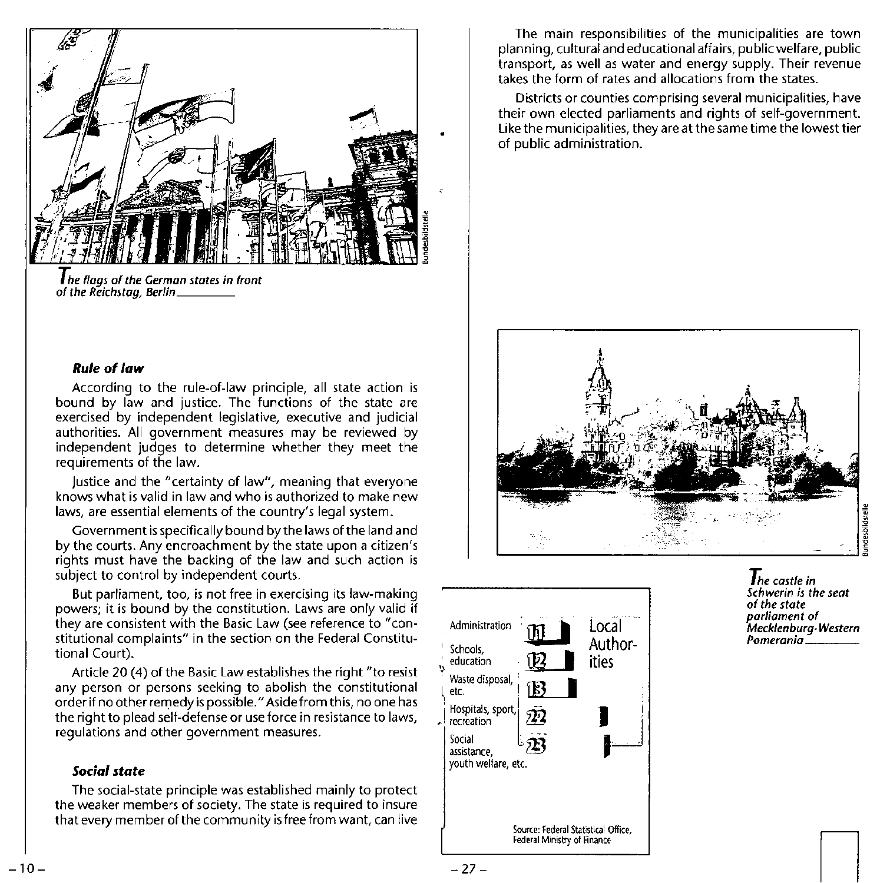

**The flags of the German states in front** of the Reichstag, Berlin \_\_\_ \_

#### Rule of law

According to the rule-of-Iaw principle, all state action is bound by law and justice. The functions of the state are exercised by independent legislative, executive and judicial authorities. All government measures may be reviewed by independent judges to determine whether they meet the requirements of the law.

Justice and the "certainty of law", meaning that everyone knows what is valid in law and who is authorized to make new laws, are essential elements of the country's legal system.

Government is specifically bound by the laws of the land and by the courts. Any encroachment by the state upon a citizen's rights must have the backing of the law and such action is subject to control by independent courts.

But parliament, too, is not free in exercising its law-making powers; it is bound by the constitution. Laws are only valid if they are consistent with the Basic Law (see reference to "constitutional complaints" in the section on the Federal Constitutional Court).

Article 20 (4) of the Basic Law establishes the right "to resist any person or persons seeking to abolish the constitutional order if no other remedy is possible." Aside from this, no one has the right to plead self-defense or use force in resistance to laws, regulations and other government measures.

#### *Social state*

The social-state principle was established mainly to protect the weaker members of society. The state is required to insure that every member of the community is free from want, can live

The main responsibilities of the municipalities are town planning, cultural and educational affairs, public welfare, public transport, as well as water and energy supply. Their revenue takes the form of rates and allocations from the states.

Districts or counties comprising several municipalities, have their own elected parliaments and rights of self-government. Like the municipalities, they are at the same time the lowest tier of public administration.





The castle in Schwerin is the seat of the state parliament of .<br>Mecklenburg-Western<br>Pomerania \_\_\_\_\_\_\_\_\_

 $\Box$ 

 $-27-$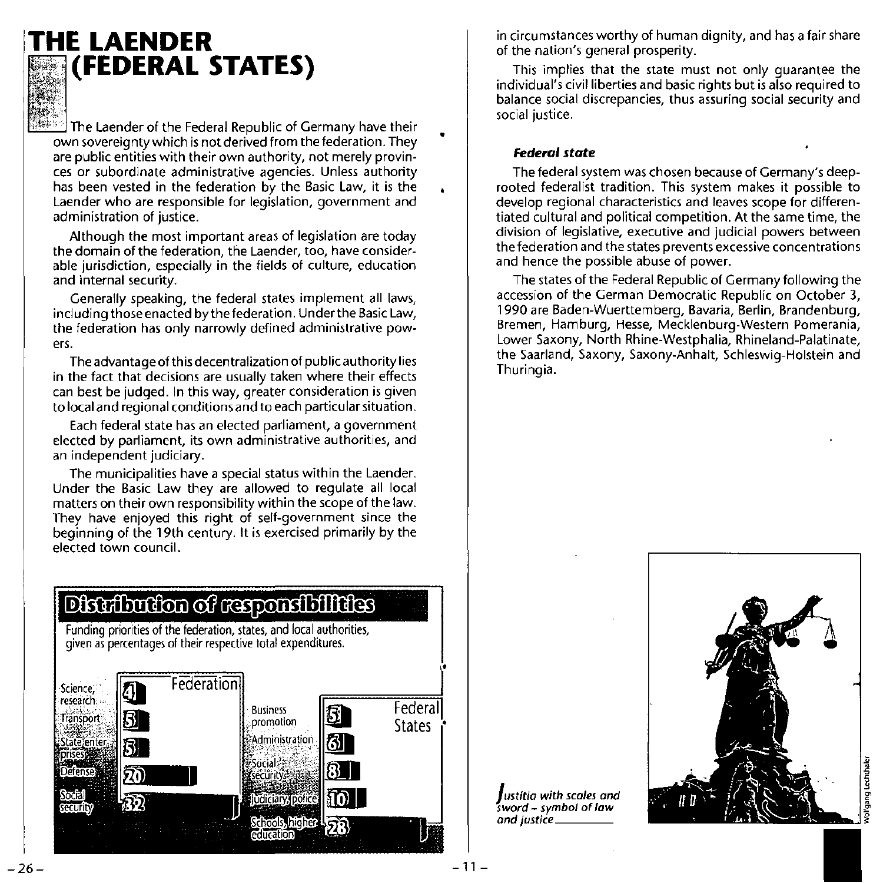

### **THE LAENDER (FEDERAL STATES)**

The Laender of the Federal Republic of Germany have their own sovereignty which is not derived from the federation. They **are public entities with their own authority, not merely provinces or subordinate administrative agencies. Unless authority has been vested in the federation by the Basic Law, it is the Laender who are responsible for legislation, government and administration of justice.** 

Although the most important areas of legislation are today **the domain of the federation, the Laender, too, have considerable jurisdiction, especially in the fields of culture, education and internal security.** 

Generally speaking, the federal states implement all laws, **including** those enacted by the federation. Under the **Basic Law, the federation has only narrowly defined administrative powers.** 

**The advantage of this decentralization of public authority lies in the fact that decisions are usually taken where their effects can best be judged. In this way, greater consideration is given to local and regional** conditions and **to each particularsituation.** 

**Each federal state has an elected parliament, a government elected by parliament, its own administrative authorities, and an independent judiciary.** 

**The municipalities have a special status within the Laender.**  Under the Basic Law they are allowed to regulate all local **matters on their own responsibility within the scope of the law. They have enjoyed this right of self-government since the**  beginning of the 19th century. It is exercised primarily by the **elected town council.** 

**in circumstances worthy of human dignity, and has a fair share**  of the nation's general prosperity.

This implies that the state must not only guarantee the **individual's** civil liberties **and basic rights but is also required to balance social discrepancies, thus assuring social security and social justice.** 

#### *Federal state*

**The federal system was chosen because of Germany's deeprooted federalist tradition. This system makes it possible to develop regional characteristics and leaves scope for differen**tiated cultural and political competition. At the same time, the **division of legislative, executive and judicial powers between the federation and the states prevents excessive concentrations and hence the possible abuse of power.** 

The states of the Federal Republic of Germany following the **accession of the German Democratic Republic on October 3, 1990 are Baden-Wuerttemberg, Bavaria, Berlin, Brandenburg, Bremen, Hamburg, Hesse, Mecklenburg-Western Pomerania,**  Lower Saxony, North Rhine-Westphalia, Rhineland-Palatinate, the Saarland, Saxony, Saxony-Anhalt, Schleswig-Holstein and Thuringia.

## Distribution of responsibilities

Funding priorities of the federation, states, and local authorities, given as percentages of their respective total expenditures.



gang Lechthale

*Justitia with scales and sword* **-** *symbol of law and justice'* \_\_\_ \_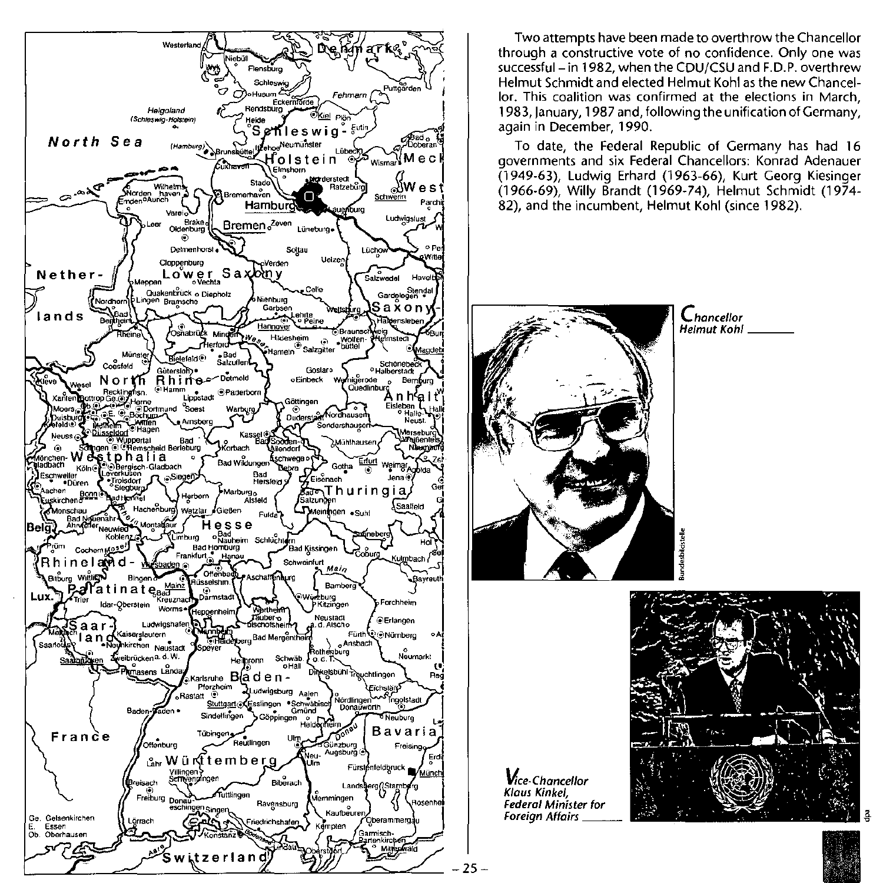

Two attempts have been made to overthrow the Chancellor **through a constructive vote of no confidence. Only one was**  successful- in 1982, when the CDU/CSU and F.D.P. overthrew Helmut Schmidt and elected Helmut Kohl as the new Chancel**lor. This coalition was confirmed at the elections in March,**  1983, January, 1987 and, following the unification of Germany, again in December, 1990.

To date, the Federal Republic of Germany has had 16 **governments and six Federal Chancellors: Konrad Adenauer**  (1949-63), Ludwig Erhard (1963-66), Kurt Georg Kiesinger (1966-69), Willy Brandt (1969-74), Helmut Schmidt (1974- 82), and the incumbent, Helmut Kohl (since 1982).



**Vice-Chancellor Klaus Kinkel, Federal Minister for Foreign Affairs** \_\_ \_

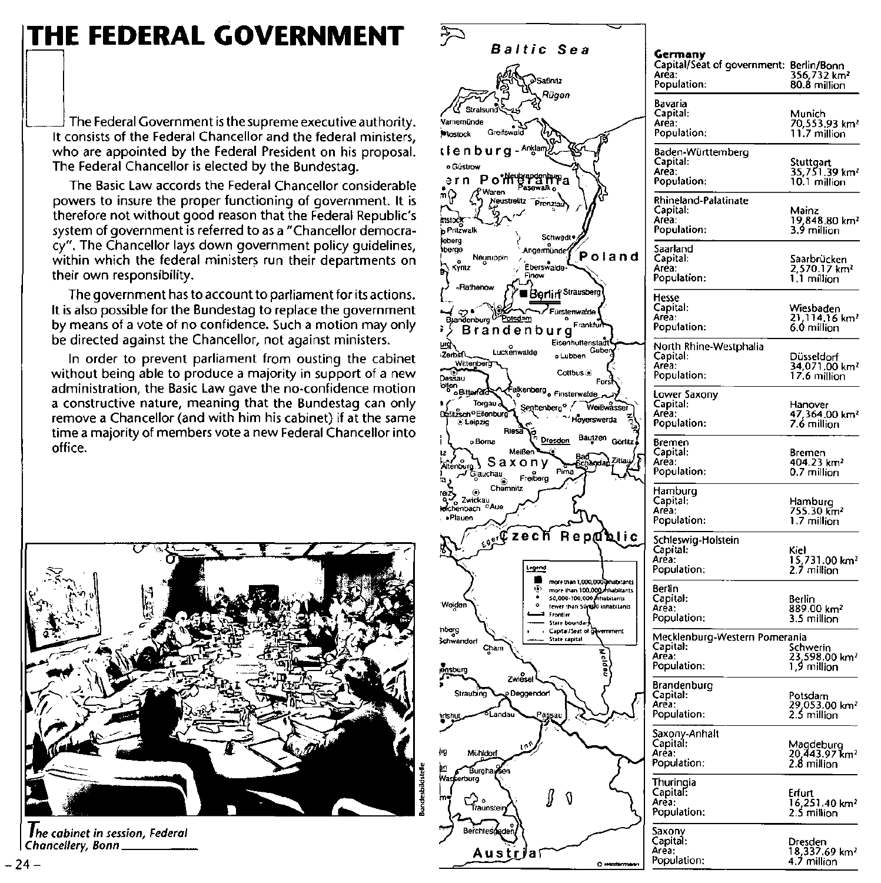## **THE FEDERAL GOVERNMENT**

The Federal Government is the supreme executive authority. It consists of the Federal Chancellor and the federal ministers. who are appointed by the Federal President on his proposal. The Federal Chancellor is elected by the Bundestag.

The Basic Law accords the Federal Chancellor considerable powers to insure the proper functioning of government. It is therefore not without good reason that the Federal Republic's system of government is referred to as a "Chancellor democracy". The Chancellor lays down government policy quidelines, within which the federal ministers run their departments on their own responsibility.

The government has to account to parliament for its actions. It is also possible for the Bundestag to replace the government by means of a vote of no confidence. Such a motion may only be directed against the Chancellor, not against ministers.

In order to prevent parliament from ousting the cabinet without being able to produce a majority in support of a new administration, the Basic Law gave the no-confidence motion a constructive nature, meaning that the Bundestag can only remove a Chancellor (and with him his cabinet) if at the same time a majority of members vote a new Federal Chancellor into office.



The cabinet in session, Federal Chancellery, Bonn.



|                                              | Capital/Seat of government: Berlin/Bonn<br>Area:<br>Population:   | 356,732 km <sup>2</sup><br>80.8 million                 |
|----------------------------------------------|-------------------------------------------------------------------|---------------------------------------------------------|
|                                              | Bavaria<br>Capital:<br>Area.<br>Population:                       | Munich<br>70,553.93 km <sup>2</sup><br>11.7 million     |
|                                              | Baden-Württemberg<br>Capital:<br>Area:<br>Population:             | Stuttgart<br>35,751.39 km²<br>10.1 million              |
|                                              | Rhineland-Palatinate<br>Capital:<br>Area:<br>Population:          | Mainz<br>19,848.80 km²<br>3.9 million                   |
| and                                          | Saarland<br>Capital:<br>Aréa:<br>Population:                      | Saarbrücken<br>2.570.17 km <sup>2</sup><br>1.1 million  |
|                                              | Hesse<br>Capital:<br>Area:<br>Population:                         | Wiesbaden<br>21,114.16 km²<br>6.0 million               |
|                                              | North Rhine-Westphalia<br>Capital:<br>Aréa:<br>Population:        | Dusseldorf<br>34,071.00 km <sup>2</sup><br>17.6 million |
| isser<br>ia                                  | Lower Saxony<br>Capital:<br>Area:<br>Population:                  | Hanover<br>47,364.00 km²<br>7.6 million                 |
| Görlitz<br>Zittau                            | Bremen<br>Capital:<br>Area:<br>Population:                        | Bremen<br>404.23 km <sup>2</sup><br>0.7 million         |
|                                              | Hamburg<br>Capital:<br>Area:<br>Population:                       | Hamburg<br>755.30 km²<br>1.7 million                    |
| ปic                                          | Schleswig-Holstein<br>Capital:<br>Area:<br>Population:            | Kiel<br>15,731.00 km <sup>2</sup><br>2.7 million        |
| habitants<br>vabitants<br>itants<br>abitants | Berlin<br>Capital:<br>Area:<br>Population:                        | Berlin<br>889.00 km²<br>3.5 million                     |
| ment                                         | Mecklenburg-Western Pomerania<br>Capital:<br>Area:<br>Population: | Schwerin<br>23,598.00 km²<br>1,9 million                |
|                                              | Brandenburg<br>Capital:<br>Area:<br>Population:                   | Potsdam<br>29,053.00 km²<br>2.5 million                 |
|                                              | Saxony-Anhalt<br>Capital:<br>Area:<br>Population:                 | Magdeburg<br>20,443.97 km²<br>2.8 million               |
|                                              | Thuringia<br>Capital:<br>Area:<br>Population:                     | Eriun<br>16,251.40 km <sup>2</sup><br>2.5 million       |
|                                              | Saxony<br>Capital:<br>Area:<br>Population:                        | Dresden<br>18,337.69 km <sup>2</sup><br>4.7 million     |
|                                              |                                                                   |                                                         |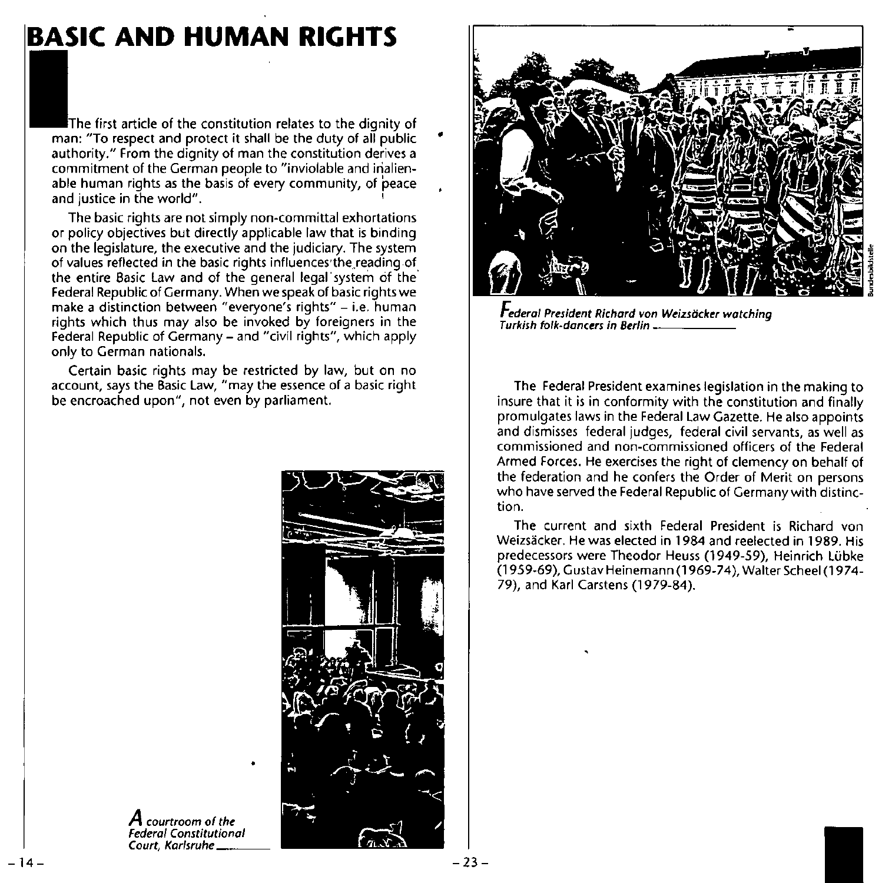### **BASIC AND HUMAN RIGHTS**

first article of the constitution relates to the dignity of man: "To respect and protect it shall be the duty of all public **authority." From the dignity of man the constitution derives a commitment of the German people to "inviolable and inalienable human rights as the basis of every community, of peace and justice in the world".** <sup>I</sup>

**The basic rights are not simply non-committal exhortations**  or policy objectives but directly applicable law that is binding **on the legislature, the executive and the judiciary. The system**  of values reflected in the basic rights influences the reading of the entire Basic Law and of the general legal'system of the Federal Republic of Germany, When we speak of basic rights we **make a distinction between "everyone's rights" - i.e. human**  rights which thus may also be invoked by foreigners in the Federal Republic of Germany - and "civil rights", which apply **only to German nationals.** 

Certain basic rights may be restricted by law, but on no **account, says the Basic law, "may the essence of a basic right**  be encroached upon", not even by parliament.



**A courtroom of the**  *Federal Constitutional*  **Court, Karfsruhe \_\_ \_** 



*Federal President Richard von Weizsticker watching* **Turkish folk·dancers in Berlin** \_\_\_\_ \_

The Federal President examines legislation in the making to **insure that it is in conformity with the constitution and finally**  promulgates laws in the Federal Law Gazette, He also appoints **and dismisses federal judges, federal civil servants, as well as commissioned and non-commissioned officers of the Federal**  Armed Forces, He exercises the right of clemency on behalf of the federation and he confers the Order of Merit on persons who have served the Federal Republic of Germany with distinc**tion.** 

**The current and sixth Federal President is Richard von**  Weizsäcker, He was elected in 1984 and reelected in 1989. His predecessors were Theodor Heuss (1949-59), Heinrich Lubke (1959-69), Gustav Heinemann (1969-74), Walter Scheel (1974- 79), and Karl Carstens (1979-B4).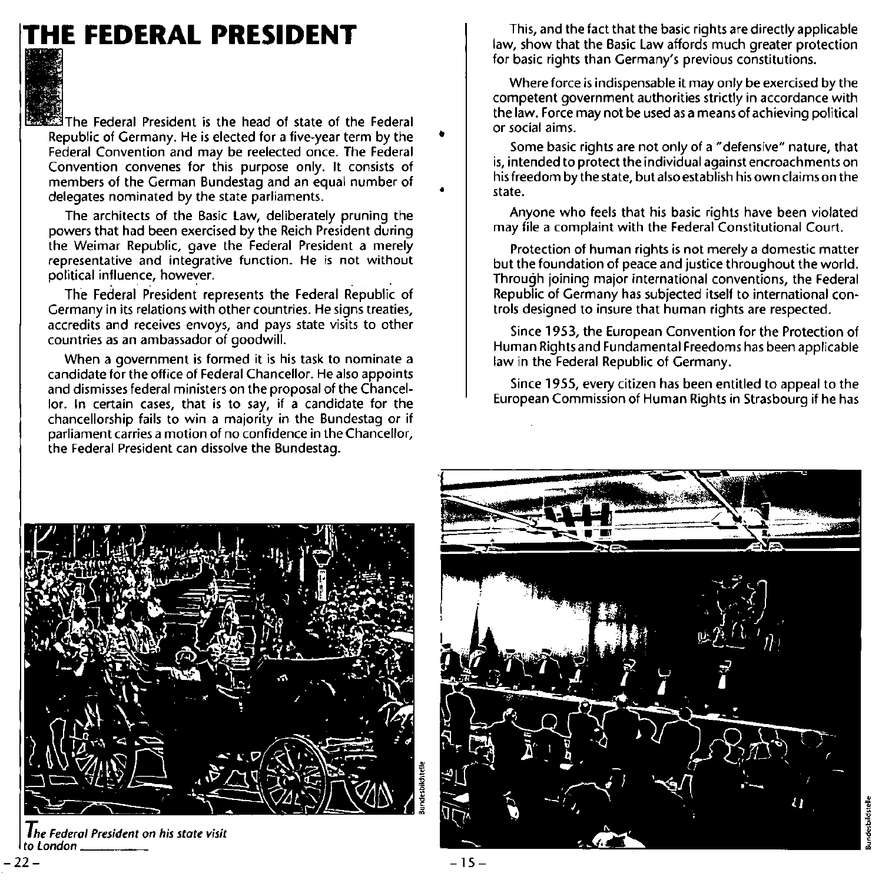## **THE FEDERAL PRESIDENT**



The Federal President is the head of state of the Federal Republic of Germany. He is elected for a five-year term by the **Federal Convention and may be reelected once. The Federal Convention convenes for this purpose only. It consists of members of the German Bundestag and an equal number of**  delegates nominated by the state parliaments.

The architects of the Basic law, deliberately pruning the powers that had been exercised by the Reich President during the Weimar Republic, gave the Federal President a merely **representative and integrative function. He is not without**  political influence, however.

The Federal President represents the Federal Republic of **Germany in its relations with other countries. He signs treaties, accredits and receives envoys, and pays state visits to other countries as an ambassador of goodwill.** 

**When a government is formed it is his task to nominate a**  candidate for the office of Federal Chancellor. He also appoints and dismisses federal ministers on the proposal of the Chancel**lor. In certain cases, that is to say, if a candidate for the chancellorship fails to win a majority in the Bundestag or if parliament carries a motion of no confidence in the Chancellor, the Federal President can dissolve the Bundestag.** 

This, and the fact that the basic rights are directly applicable law, show that the Basic law affords much greater protection **for basic rights than Germany's previous constitutions.** 

**Where force is indispensable it may only be exercised by the competent government authorities strictly in accordance with**  the law. Force may not be used as a means of achieving political **or social aims .** 

**Some basic rights are not only of a "defensive" nature, that is, intended to protect the individual against encroachments on**  his freedom by the state, but also establish his own claims on the **state.** 

Anyone who feels that his basic rights have been violated may file a complaint with the Federal Constitutional Court.

**Protection of human rights is not merely a domestic matter**  but the foundation of peace and justice throughout the world. Through joining major international conventions, the Federal Republic of Germany has subjected itself to international con**trols designed to insure that human rights are respected.** 

Since 1953, the European Convention for the Protection of Human Rightsand Fundamental Freedoms has been applicable law in the Federal Republic of Germany.

Since 1955, every citizen has been entitled to appeal to the European Commission of Human Rights in Strasbourg if he has



*The Federal President* **on** *his state visit to l.ondon* \_\_\_ \_

-22-

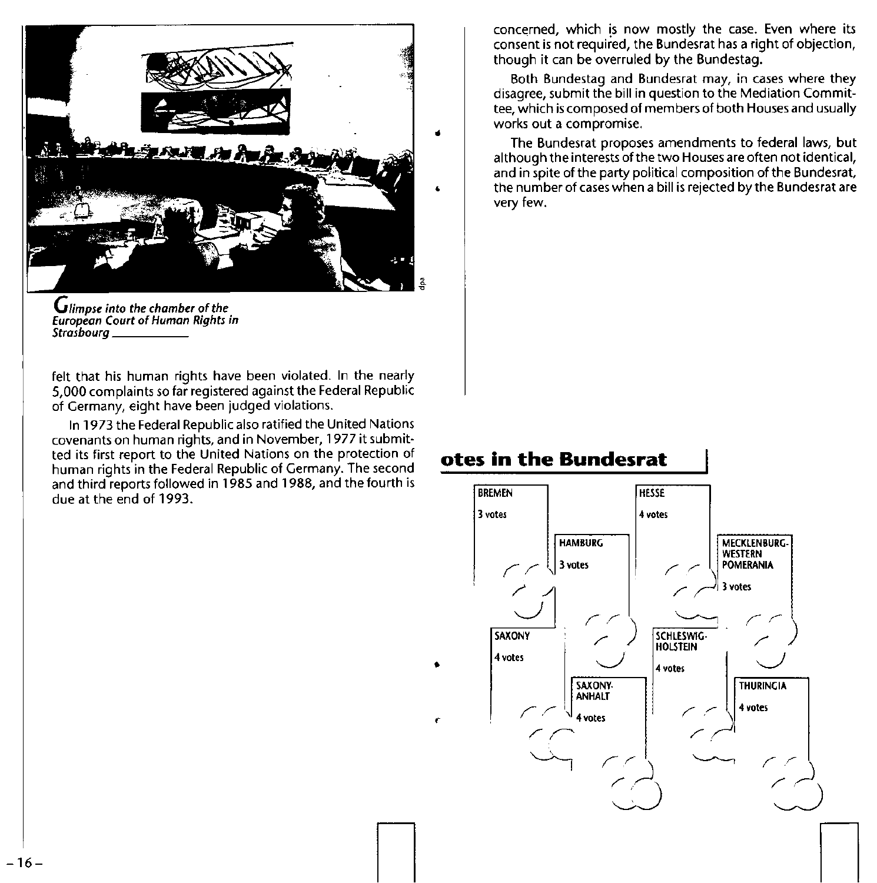

*Glimpse into the chamber* **of** *the European Court* **of** *Human Rights in Strasbourg* \_\_\_\_ \_

felt that his human rights have been violated. In the nearly 5,000 complaints so far registered against the Federal Republic of Germany, eight have been judged violations.

In 1973 the Federal Republic also ratified the United Nations **covenants on human rights, and in November, 1977 it submit· ted its first report to the United Nations on the protection of**  human rights in the Federal Republic of Germany. The second and third reports followed in 1985 and 1988, and the fourth is due at the end of 1993.

**concerned, which !s now mostly the case. Even where its**  consent is not required, the Bundesrat has a right of objection, though it can be overruled by the Bundestag.

**Both Bundestag and Bundesrat may, in cases where they disagree, submit the bill in question to the Mediation Commit**tee, which is composed of members of both Houses and usually works out a compromise.

The Bundesrat proposes amendments to federal laws, but **although the interests of the two Houses are often not identical,**  and in spite of the party political composition of the Bundesrat, the number of cases when a bill is rejected by the Bundesrat are **very few.** 

### **otes in the Bundesrat**

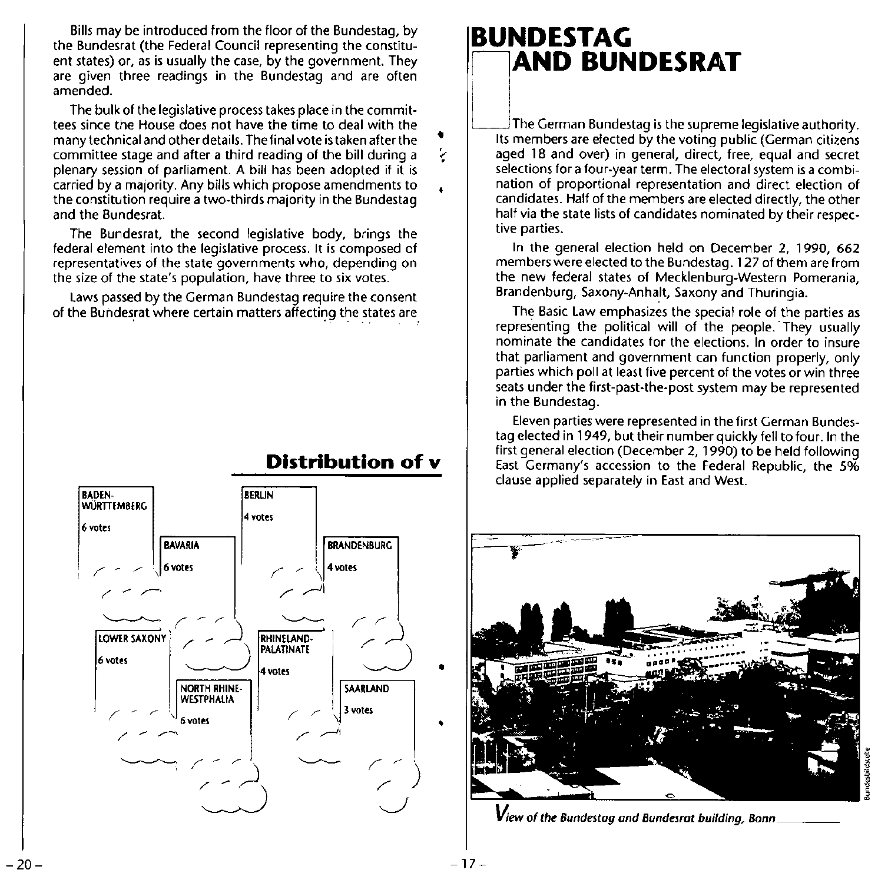Bills may be introduced from the floor of the Bundestag, by the Bundesrat (the Federal Council representing the constituent states) or, as is usually the case, by the government. They are given three readings in the Bundestag and are often **amended.** 

The bulk of the legislative process takes place in the committees since the House does not have the time to deal with the many technical and other details. Thefinal vote is taken after the **committee stage and after a third reading of the bill during a**  plenary session of parliament. A bill has been adopted if it is carried by a majority. Any bills which propose amendments to **the constitution require a two·thirds majority in the Bundestag**  and the Bundesrat.

The Bundesrat, the second legislative body, brings the federal element into the legislative process. It is composed of **representatives of the state governments who, depending on the size of the state's population, have three to six votes.** 

Laws passed by the German Bundestag require the consent of the Bundesrat where certain matters affecting the states are

### **Distribution of v**

•

•



## **BUNDESTAG<br>FINAD BUNDESRAT**

The German bundestag is the supreme registative authority.<br>Its members are elected by the voting public (German citizens aged 18 and over) in general, direct, free, equal and secret **selections for a four-year term. The electoral system is a combination of proportional representation and direct election of**  candidates. Half of the members are elected directly, the other **half via the state lists of candidates nominated by their respective parties.** 

In the general election held on December 2, 1990, 662 **members were elected to the Bundestag. 127 of them are from**  the new federal states of Mecklenburg-Western Pomerania, Brandenburg, Saxony-Anhalt, Saxony and Thuringia.

The Basic Law emphasizes the special role of the parties as representing the political will of the people. They usually **nominate the candidates for the elections. In order to insure**  that parliament and government can function properly, only parties which poll at least five percent of the votes or win three seats under the first-past-the-post system may be represented in the Bundestag.

**Eleven parties were represented in the first German Bundes**tag elected in 1949, but their number quickly fell to four. In the first general election (December 2, 1990) to be held following **East Germany's accession to the Federal Republic, the 5% clause applied separately in East and West.** 



 $V$ iew of the Bundestag and Bundesrat building, Bonn

•